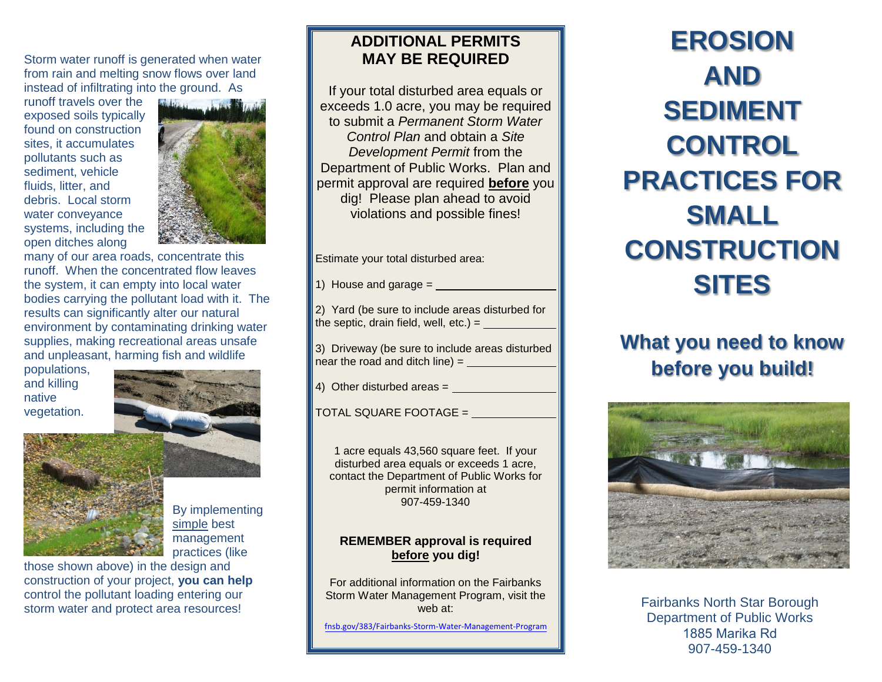Storm water runoff is generated when water from rain and melting snow flows over land instead of infiltrating into the ground. As

runoff travels over the exposed soils typically found on construction sites, it accumulates pollutants such as sediment, vehicle fluids, litter, and debris. Local storm water conveyance systems, including the open ditches along



many of our area roads, concentrate this runoff. When the concentrated flow leaves the system, it can empty into local water bodies carrying the pollutant load with it. The results can significantly alter our natural environment by contaminating drinking water supplies, making recreational areas unsafe and unpleasant, harming fish and wildlife

populations, and killing native vegetation.



By implementing simple best management practices (like

those shown above) in the design and construction of your project, **you can help** control the pollutant loading entering our storm water and protect area resources!

### **ADDITIONAL PERMITS MAY BE REQUIRED**

If your total disturbed area equals or exceeds 1.0 acre, you may be required to submit a *Permanent Storm Water Control Plan* and obtain a *Site Development Permit* from the Department of Public Works. Plan and permit approval are required **before** you dig! Please plan ahead to avoid violations and possible fines!

Estimate your total disturbed area:

1) House and garage =

2) Yard (be sure to include areas disturbed for the septic, drain field, well,  $etc.$ ) =

3) Driveway (be sure to include areas disturbed near the road and ditch line) =

4) Other disturbed areas =

TOTAL SQUARE FOOTAGE =

1 acre equals 43,560 square feet. If your disturbed area equals or exceeds 1 acre, contact the Department of Public Works for permit information at 907-459-1340

#### **REMEMBER approval is required before you dig!**

For additional information on the Fairbanks Storm Water Management Program, visit the web at:

fnsb.go[v/383/Fairbanks-Storm-Water-Management-P](http://fnsb.us/pw/Pages/Storm-Water.aspx)rogram

**EROSION AND SEDIMENT CONTROL PRACTICES FOR SMALL CONSTRUCTION SITES** 

## **What you need to know before you build!**



Fairbanks North Star Borough Department of Public Works 1885 Marika Rd 907-459-1340